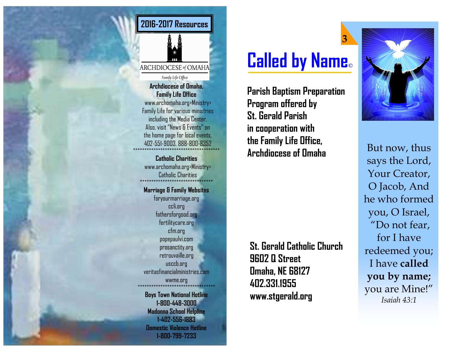

**Archdiocese of Omaha, Family Life Office** www.archomaha.org>Ministry> Family Life for various ministries including the Media Center. Also, visit "News & Events" on the home page for local events, 402-551-9003, 888-800-8352 \*\*\*\*\*\*\*\*\*\*\*\*\*\*\*\*\*\*\*\*\*\*\*\*\*\*\*\*\*\*\*\*\*\*\*\*\*\*

> **Catholic Charities** www.archomaha.org>Ministry> Catholic Charities \*\*\*\*\*\*\*\*\*\*\*\*\*\*\*\*\*\*\*\*\*\*\*\*\*\*\*\*\*\*\*\* **Marriage & Family Websites**  foryourmarriage.org ccli.org fathersforgood.org fertilitycare.org cfm.org popepaulvi.com prosanctity.org retrouvaille.org usccb.org veritasfinancialministries.com

**Boys Town National Hotline 1-800-448-3000 Madonna School Helpline 1-402-556-1883 Domestic Violence Hotline 1-800-799-7233**

wwme.org \*\*\*\*\*\*\*\*\*\*\*\*\*\*\*\*\*\*\*\*\*\*\*\*\*\*\*\*\*\*\*\*\*\*

## **Called by Name©**

**3**

**Parish Baptism Preparation Program offered by St. Gerald Parish in cooperation with the Family Life Office, Archdiocese of Omaha**

**St. Gerald Catholic Church 9602 Q Street Omaha, NE 68127 402.331.1955 www.stgerald.org**



But now, thus says the Lord, Your Creator, O Jacob, And he who formed you, O Israel, "Do not fear, for I have redeemed you; I have **called you by name;**  you are Mine!" *Isaiah 43:1*